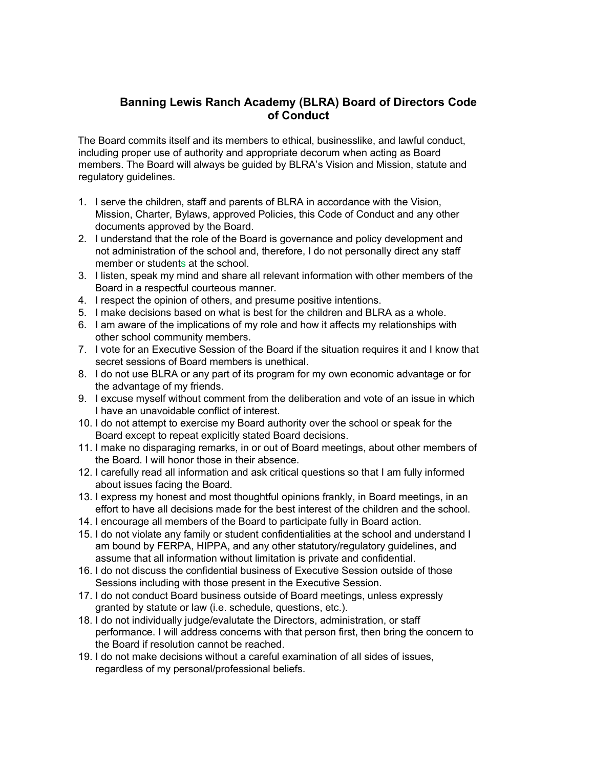## **Banning Lewis Ranch Academy (BLRA) Board of Directors Code of Conduct**

The Board commits itself and its members to ethical, businesslike, and lawful conduct, including proper use of authority and appropriate decorum when acting as Board members. The Board will always be guided by BLRA's Vision and Mission, statute and regulatory guidelines.

- 1. I serve the children, staff and parents of BLRA in accordance with the Vision, Mission, Charter, Bylaws, approved Policies, this Code of Conduct and any other documents approved by the Board.
- 2. I understand that the role of the Board is governance and policy development and not administration of the school and, therefore, I do not personally direct any staff member or students at the school.
- 3. I listen, speak my mind and share all relevant information with other members of the Board in a respectful courteous manner.
- 4. I respect the opinion of others, and presume positive intentions.
- 5. I make decisions based on what is best for the children and BLRA as a whole.
- 6. I am aware of the implications of my role and how it affects my relationships with other school community members.
- 7. I vote for an Executive Session of the Board if the situation requires it and I know that secret sessions of Board members is unethical.
- 8. I do not use BLRA or any part of its program for my own economic advantage or for the advantage of my friends.
- 9. I excuse myself without comment from the deliberation and vote of an issue in which I have an unavoidable conflict of interest.
- 10. I do not attempt to exercise my Board authority over the school or speak for the Board except to repeat explicitly stated Board decisions.
- 11. I make no disparaging remarks, in or out of Board meetings, about other members of the Board. I will honor those in their absence.
- 12. I carefully read all information and ask critical questions so that I am fully informed about issues facing the Board.
- 13. I express my honest and most thoughtful opinions frankly, in Board meetings, in an effort to have all decisions made for the best interest of the children and the school.
- 14. I encourage all members of the Board to participate fully in Board action.
- 15. I do not violate any family or student confidentialities at the school and understand I am bound by FERPA, HIPPA, and any other statutory/regulatory guidelines, and assume that all information without limitation is private and confidential.
- 16. I do not discuss the confidential business of Executive Session outside of those Sessions including with those present in the Executive Session.
- 17. I do not conduct Board business outside of Board meetings, unless expressly granted by statute or law (i.e. schedule, questions, etc.).
- 18. I do not individually judge/evalutate the Directors, administration, or staff performance. I will address concerns with that person first, then bring the concern to the Board if resolution cannot be reached.
- 19. I do not make decisions without a careful examination of all sides of issues, regardless of my personal/professional beliefs.